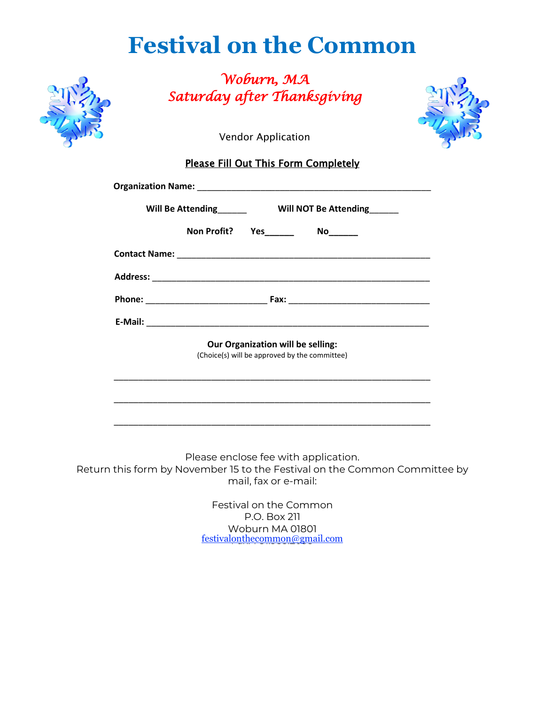## **Festival on the Common**



*Woburn, MA Saturday after Thanksgiving* 





## Please Fill Out This Form Completely

|  |                                      |                        | Our Organization will be selling:<br>(Choice(s) will be approved by the committee) |  |                                                                            |
|--|--------------------------------------|------------------------|------------------------------------------------------------------------------------|--|----------------------------------------------------------------------------|
|  |                                      |                        |                                                                                    |  |                                                                            |
|  | Please enclose fee with application. | mail, fax or e-mail:   |                                                                                    |  | Return this form by November 15 to the Festival on the Common Committee by |
|  |                                      | Festival on the Common |                                                                                    |  |                                                                            |

P.O. Box 211 Woburn MA 01801 festivalonthecommon@gmail.com